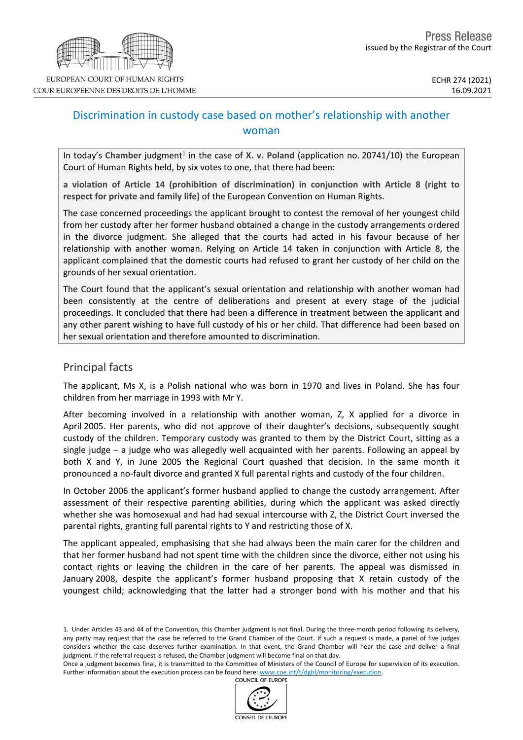

# Discrimination in custody case based on mother's relationship with another woman

In today's Chamber judgment<sup>1</sup> in the case of X. v. Poland (application no. 20741/10) the European Court of Human Rights held, by six votes to one, that there had been:

**a violation of Article 14 (prohibition of discrimination) in conjunction with Article 8 (right to respect for private and family life)** of the European Convention on Human Rights.

The case concerned proceedings the applicant brought to contest the removal of her youngest child from her custody after her former husband obtained a change in the custody arrangements ordered in the divorce judgment. She alleged that the courts had acted in his favour because of her relationship with another woman. Relying on Article 14 taken in conjunction with Article 8, the applicant complained that the domestic courts had refused to grant her custody of her child on the grounds of her sexual orientation.

The Court found that the applicant's sexual orientation and relationship with another woman had been consistently at the centre of deliberations and present at every stage of the judicial proceedings. It concluded that there had been a difference in treatment between the applicant and any other parent wishing to have full custody of his or her child. That difference had been based on her sexual orientation and therefore amounted to discrimination.

### Principal facts

The applicant, Ms X, is a Polish national who was born in 1970 and lives in Poland. She has four children from her marriage in 1993 with Mr Y.

After becoming involved in a relationship with another woman, Z, X applied for a divorce in April 2005. Her parents, who did not approve of their daughter's decisions, subsequently sought custody of the children. Temporary custody was granted to them by the District Court, sitting as a single judge – a judge who was allegedly well acquainted with her parents. Following an appeal by both X and Y, in June 2005 the Regional Court quashed that decision. In the same month it pronounced a no-fault divorce and granted X full parental rights and custody of the four children.

In October 2006 the applicant's former husband applied to change the custody arrangement. After assessment of their respective parenting abilities, during which the applicant was asked directly whether she was homosexual and had had sexual intercourse with Z, the District Court inversed the parental rights, granting full parental rights to Y and restricting those of X.

The applicant appealed, emphasising that she had always been the main carer for the children and that her former husband had not spent time with the children since the divorce, either not using his contact rights or leaving the children in the care of her parents. The appeal was dismissed in January 2008, despite the applicant's former husband proposing that X retain custody of the youngest child; acknowledging that the latter had a stronger bond with his mother and that his

Once a judgment becomes final, it is transmitted to the Committee of Ministers of the Council of Europe for supervision of its execution. Further information about the execution process can be found here: [www.coe.int/t/dghl/monitoring/execution](http://www.coe.int/t/dghl/monitoring/execution).<br>COUNCIL OF EUROPE



<sup>1.</sup> Under Articles 43 and 44 of the Convention, this Chamber judgment is not final. During the three-month period following its delivery, any party may request that the case be referred to the Grand Chamber of the Court. If such a request is made, a panel of five judges considers whether the case deserves further examination. In that event, the Grand Chamber will hear the case and deliver a final judgment. If the referral request is refused, the Chamber judgment will become final on that day.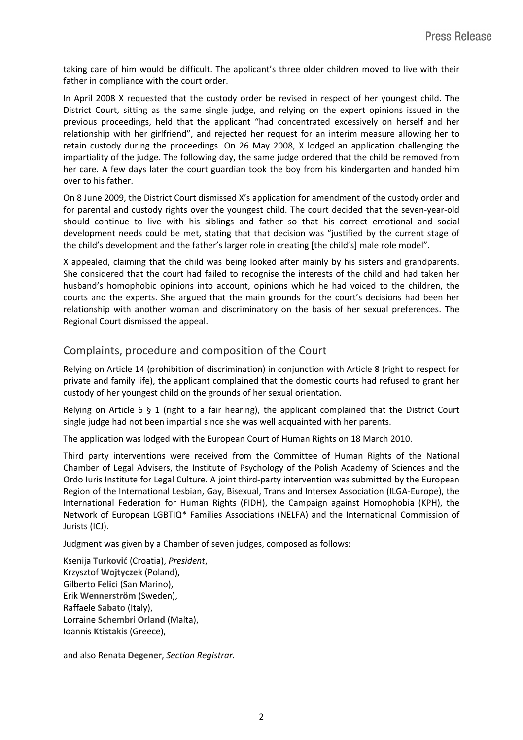taking care of him would be difficult. The applicant's three older children moved to live with their father in compliance with the court order.

In April 2008 X requested that the custody order be revised in respect of her youngest child. The District Court, sitting as the same single judge, and relying on the expert opinions issued in the previous proceedings, held that the applicant "had concentrated excessively on herself and her relationship with her girlfriend", and rejected her request for an interim measure allowing her to retain custody during the proceedings. On 26 May 2008, X lodged an application challenging the impartiality of the judge. The following day, the same judge ordered that the child be removed from her care. A few days later the court guardian took the boy from his kindergarten and handed him over to his father.

On 8 June 2009, the District Court dismissed X's application for amendment of the custody order and for parental and custody rights over the youngest child. The court decided that the seven-year-old should continue to live with his siblings and father so that his correct emotional and social development needs could be met, stating that that decision was "justified by the current stage of the child's development and the father's larger role in creating [the child's] male role model".

X appealed, claiming that the child was being looked after mainly by his sisters and grandparents. She considered that the court had failed to recognise the interests of the child and had taken her husband's homophobic opinions into account, opinions which he had voiced to the children, the courts and the experts. She argued that the main grounds for the court's decisions had been her relationship with another woman and discriminatory on the basis of her sexual preferences. The Regional Court dismissed the appeal.

## Complaints, procedure and composition of the Court

Relying on Article 14 (prohibition of discrimination) in conjunction with Article 8 (right to respect for private and family life), the applicant complained that the domestic courts had refused to grant her custody of her youngest child on the grounds of her sexual orientation.

Relying on Article 6 § 1 (right to a fair hearing), the applicant complained that the District Court single judge had not been impartial since she was well acquainted with her parents.

The application was lodged with the European Court of Human Rights on 18 March 2010.

Third party interventions were received from the Committee of Human Rights of the National Chamber of Legal Advisers, the Institute of Psychology of the Polish Academy of Sciences and the Ordo Iuris Institute for Legal Culture. A joint third-party intervention was submitted by the European Region of the International Lesbian, Gay, Bisexual, Trans and Intersex Association (ILGA-Europe), the International Federation for Human Rights (FIDH), the Campaign against Homophobia (KPH), the Network of European LGBTIQ\* Families Associations (NELFA) and the International Commission of Jurists (ICJ).

Judgment was given by a Chamber of seven judges, composed as follows:

Ksenija **Turković** (Croatia), *President*, Krzysztof **Wojtyczek** (Poland), Gilberto **Felici** (San Marino), Erik **Wennerström** (Sweden), Raffaele **Sabato** (Italy), Lorraine **Schembri Orland** (Malta), Ioannis **Ktistakis** (Greece),

and also Renata **Degener**, *Section Registrar.*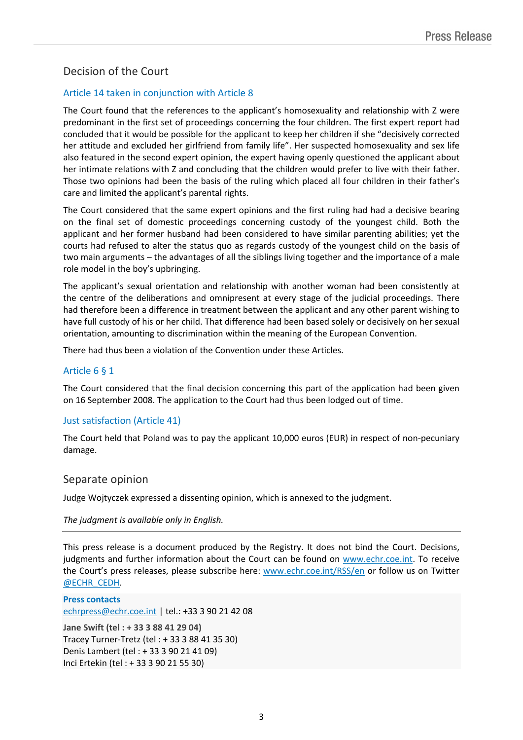## Decision of the Court

### Article 14 taken in conjunction with Article 8

The Court found that the references to the applicant's homosexuality and relationship with Z were predominant in the first set of proceedings concerning the four children. The first expert report had concluded that it would be possible for the applicant to keep her children if she "decisively corrected her attitude and excluded her girlfriend from family life". Her suspected homosexuality and sex life also featured in the second expert opinion, the expert having openly questioned the applicant about her intimate relations with Z and concluding that the children would prefer to live with their father. Those two opinions had been the basis of the ruling which placed all four children in their father's care and limited the applicant's parental rights.

The Court considered that the same expert opinions and the first ruling had had a decisive bearing on the final set of domestic proceedings concerning custody of the youngest child. Both the applicant and her former husband had been considered to have similar parenting abilities; yet the courts had refused to alter the status quo as regards custody of the youngest child on the basis of two main arguments – the advantages of all the siblings living together and the importance of a male role model in the boy's upbringing.

The applicant's sexual orientation and relationship with another woman had been consistently at the centre of the deliberations and omnipresent at every stage of the judicial proceedings. There had therefore been a difference in treatment between the applicant and any other parent wishing to have full custody of his or her child. That difference had been based solely or decisively on her sexual orientation, amounting to discrimination within the meaning of the European Convention.

There had thus been a violation of the Convention under these Articles.

#### Article 6 § 1

The Court considered that the final decision concerning this part of the application had been given on 16 September 2008. The application to the Court had thus been lodged out of time.

#### Just satisfaction (Article 41)

The Court held that Poland was to pay the applicant 10,000 euros (EUR) in respect of non-pecuniary damage.

#### Separate opinion

Judge Wojtyczek expressed a dissenting opinion, which is annexed to the judgment.

#### *The judgment is available only in English.*

This press release is a document produced by the Registry. It does not bind the Court. Decisions, judgments and further information about the Court can be found on [www.echr.coe.int](http://www.echr.coe.int/). To receive the Court's press releases, please subscribe here: [www.echr.coe.int/RSS/en](http://www.echr.coe.int/RSS/en) or follow us on Twitter [@ECHR\\_CEDH](https://twitter.com/ECHR_CEDH).

**Press contacts** [echrpress@echr.coe.int](mailto:Echrpress@echr.coe.int) | tel.: +33 3 90 21 42 08

**Jane Swift (tel : + 33 3 88 41 29 04)** Tracey Turner-Tretz (tel : + 33 3 88 41 35 30) Denis Lambert (tel : + 33 3 90 21 41 09) Inci Ertekin (tel : + 33 3 90 21 55 30)